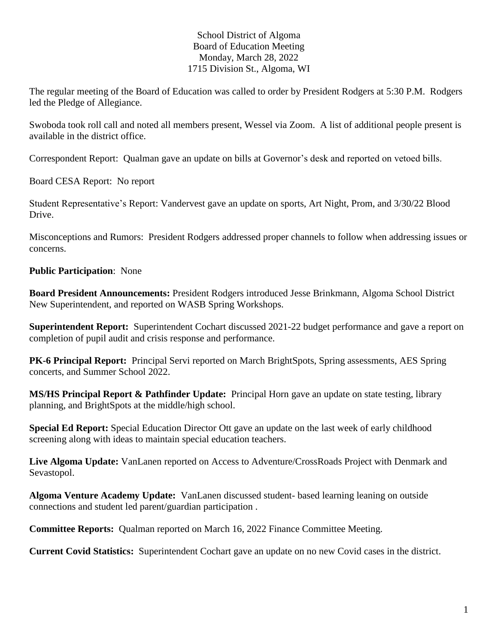## School District of Algoma Board of Education Meeting Monday, March 28, 2022 1715 Division St., Algoma, WI

The regular meeting of the Board of Education was called to order by President Rodgers at 5:30 P.M. Rodgers led the Pledge of Allegiance.

Swoboda took roll call and noted all members present, Wessel via Zoom. A list of additional people present is available in the district office.

Correspondent Report: Qualman gave an update on bills at Governor's desk and reported on vetoed bills.

Board CESA Report: No report

Student Representative's Report: Vandervest gave an update on sports, Art Night, Prom, and 3/30/22 Blood Drive.

Misconceptions and Rumors: President Rodgers addressed proper channels to follow when addressing issues or concerns.

## **Public Participation**: None

**Board President Announcements:** President Rodgers introduced Jesse Brinkmann, Algoma School District New Superintendent, and reported on WASB Spring Workshops.

**Superintendent Report:** Superintendent Cochart discussed 2021-22 budget performance and gave a report on completion of pupil audit and crisis response and performance.

**PK-6 Principal Report:** Principal Servi reported on March BrightSpots, Spring assessments, AES Spring concerts, and Summer School 2022.

**MS/HS Principal Report & Pathfinder Update:** Principal Horn gave an update on state testing, library planning, and BrightSpots at the middle/high school.

**Special Ed Report:** Special Education Director Ott gave an update on the last week of early childhood screening along with ideas to maintain special education teachers.

**Live Algoma Update:** VanLanen reported on Access to Adventure/CrossRoads Project with Denmark and Sevastopol.

**Algoma Venture Academy Update:** VanLanen discussed student- based learning leaning on outside connections and student led parent/guardian participation .

**Committee Reports:** Qualman reported on March 16, 2022 Finance Committee Meeting.

**Current Covid Statistics:** Superintendent Cochart gave an update on no new Covid cases in the district.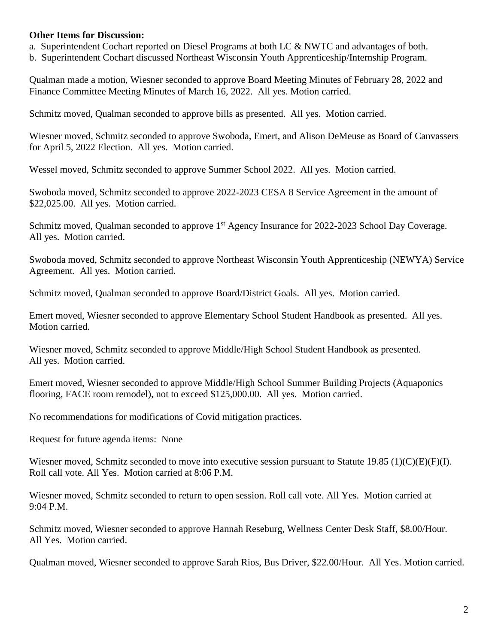## **Other Items for Discussion:**

a. Superintendent Cochart reported on Diesel Programs at both LC & NWTC and advantages of both.

b. Superintendent Cochart discussed Northeast Wisconsin Youth Apprenticeship/Internship Program.

Qualman made a motion, Wiesner seconded to approve Board Meeting Minutes of February 28, 2022 and Finance Committee Meeting Minutes of March 16, 2022. All yes. Motion carried.

Schmitz moved, Qualman seconded to approve bills as presented. All yes. Motion carried.

Wiesner moved, Schmitz seconded to approve Swoboda, Emert, and Alison DeMeuse as Board of Canvassers for April 5, 2022 Election. All yes. Motion carried.

Wessel moved, Schmitz seconded to approve Summer School 2022. All yes. Motion carried.

Swoboda moved, Schmitz seconded to approve 2022-2023 CESA 8 Service Agreement in the amount of \$22,025.00. All yes. Motion carried.

Schmitz moved, Qualman seconded to approve 1<sup>st</sup> Agency Insurance for 2022-2023 School Day Coverage. All yes. Motion carried.

Swoboda moved, Schmitz seconded to approve Northeast Wisconsin Youth Apprenticeship (NEWYA) Service Agreement. All yes. Motion carried.

Schmitz moved, Qualman seconded to approve Board/District Goals. All yes. Motion carried.

Emert moved, Wiesner seconded to approve Elementary School Student Handbook as presented. All yes. Motion carried.

Wiesner moved, Schmitz seconded to approve Middle/High School Student Handbook as presented. All yes. Motion carried.

Emert moved, Wiesner seconded to approve Middle/High School Summer Building Projects (Aquaponics flooring, FACE room remodel), not to exceed \$125,000.00. All yes. Motion carried.

No recommendations for modifications of Covid mitigation practices.

Request for future agenda items: None

Wiesner moved, Schmitz seconded to move into executive session pursuant to Statute 19.85 (1)(C)(E)(F)(I). Roll call vote. All Yes. Motion carried at 8:06 P.M.

Wiesner moved, Schmitz seconded to return to open session. Roll call vote. All Yes. Motion carried at 9:04 P.M.

Schmitz moved, Wiesner seconded to approve Hannah Reseburg, Wellness Center Desk Staff, \$8.00/Hour. All Yes. Motion carried.

Qualman moved, Wiesner seconded to approve Sarah Rios, Bus Driver, \$22.00/Hour. All Yes. Motion carried.